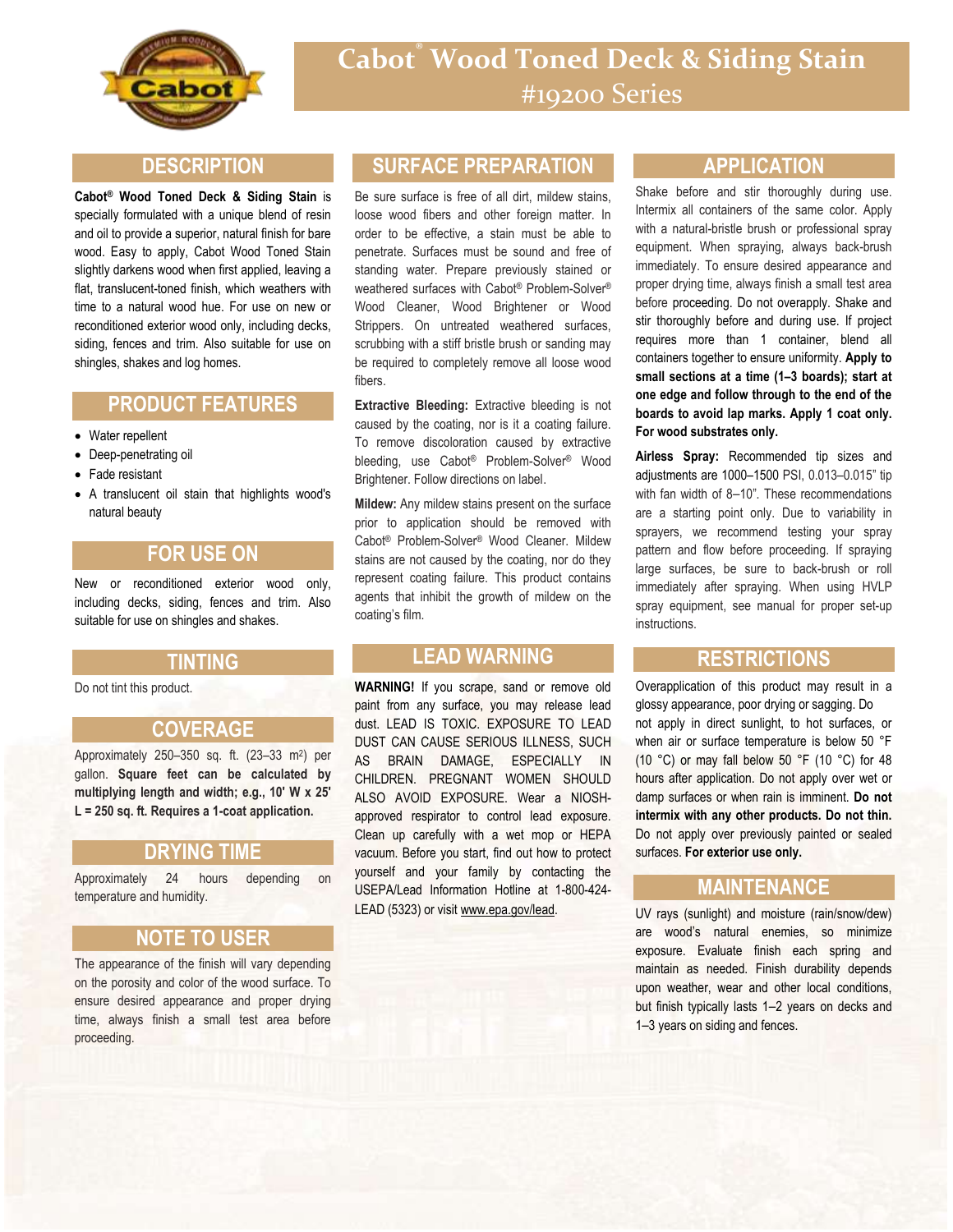

### **DESCRIPTION**

**Cabot® Wood Toned Deck & Siding Stain** is specially formulated with a unique blend of resin and oil to provide a superior, natural finish for bare wood. Easy to apply, Cabot Wood Toned Stain slightly darkens wood when first applied, leaving a flat, translucent-toned finish, which weathers with time to a natural wood hue. For use on new or reconditioned exterior wood only, including decks, siding, fences and trim. Also suitable for use on shingles, shakes and log homes.

## **PRODUCT FEATURES**

- Water repellent
- Deep-penetrating oil
- Fade resistant
- A translucent oil stain that highlights wood's natural beauty

### **FOR USE ON**

New or reconditioned exterior wood only, including decks, siding, fences and trim. Also suitable for use on shingles and shakes.

#### **TINTING**

Do not tint this product.

## **COVERAGE**

Approximately 250–350 sq. ft. (23–33 m<sup>2</sup> ) per gallon. **Square feet can be calculated by multiplying length and width; e.g., 10' W x 25' L = 250 sq. ft. Requires a 1-coat application.**

#### **DRYING TIME**

Approximately 24 hours depending on temperature and humidity.

#### **NOTE TO USER**

The appearance of the finish will vary depending on the porosity and color of the wood surface. To ensure desired appearance and proper drying time, always finish a small test area before proceeding.

## **SURFACE PREPARATION**

Be sure surface is free of all dirt, mildew stains, loose wood fibers and other foreign matter. In order to be effective, a stain must be able to penetrate. Surfaces must be sound and free of standing water. Prepare previously stained or weathered surfaces with Cabot® Problem-Solver® Wood Cleaner, Wood Brightener or Wood Strippers. On untreated weathered surfaces, scrubbing with a stiff bristle brush or sanding may be required to completely remove all loose wood fibers.

**Extractive Bleeding:** Extractive bleeding is not caused by the coating, nor is it a coating failure. To remove discoloration caused by extractive bleeding, use Cabot® Problem-Solver® Wood Brightener. Follow directions on label.

**Mildew:** Any mildew stains present on the surface prior to application should be removed with Cabot® Problem-Solver® Wood Cleaner. Mildew stains are not caused by the coating, nor do they represent coating failure. This product contains agents that inhibit the growth of mildew on the coating's film.

## **LEAD WARNING**

**WARNING!** If you scrape, sand or remove old paint from any surface, you may release lead dust. LEAD IS TOXIC. EXPOSURE TO LEAD DUST CAN CAUSE SERIOUS ILLNESS, SUCH AS BRAIN DAMAGE, ESPECIALLY IN CHILDREN. PREGNANT WOMEN SHOULD ALSO AVOID EXPOSURE. Wear a NIOSHapproved respirator to control lead exposure. Clean up carefully with a wet mop or HEPA vacuum. Before you start, find out how to protect yourself and your family by contacting the USEPA/Lead Information Hotline at 1-800-424- LEAD (5323) or visit www.epa.gov/lead.

### **APPLICATION**

Shake before and stir thoroughly during use. Intermix all containers of the same color. Apply with a natural-bristle brush or professional spray equipment. When spraying, always back-brush immediately. To ensure desired appearance and proper drying time, always finish a small test area before proceeding. Do not overapply. Shake and stir thoroughly before and during use. If project requires more than 1 container, blend all containers together to ensure uniformity. **Apply to small sections at a time (1–3 boards); start at one edge and follow through to the end of the boards to avoid lap marks. Apply 1 coat only. For wood substrates only.**

**Airless Spray:** Recommended tip sizes and adjustments are 1000–1500 PSI, 0.013–0.015" tip with fan width of 8–10". These recommendations are a starting point only. Due to variability in sprayers, we recommend testing your spray pattern and flow before proceeding. If spraying large surfaces, be sure to back-brush or roll immediately after spraying. When using HVLP spray equipment, see manual for proper set-up instructions.

#### **RESTRICTIONS**

Overapplication of this product may result in a glossy appearance, poor drying or sagging. Do not apply in direct sunlight, to hot surfaces, or when air or surface temperature is below 50 °F (10 °C) or may fall below 50 °F (10 °C) for 48 hours after application. Do not apply over wet or damp surfaces or when rain is imminent. **Do not intermix with any other products. Do not thin.** Do not apply over previously painted or sealed surfaces. **For exterior use only.**

## **MAINTENANCE**

UV rays (sunlight) and moisture (rain/snow/dew) are wood's natural enemies, so minimize exposure. Evaluate finish each spring and maintain as needed. Finish durability depends upon weather, wear and other local conditions, but finish typically lasts 1–2 years on decks and 1–3 years on siding and fences.